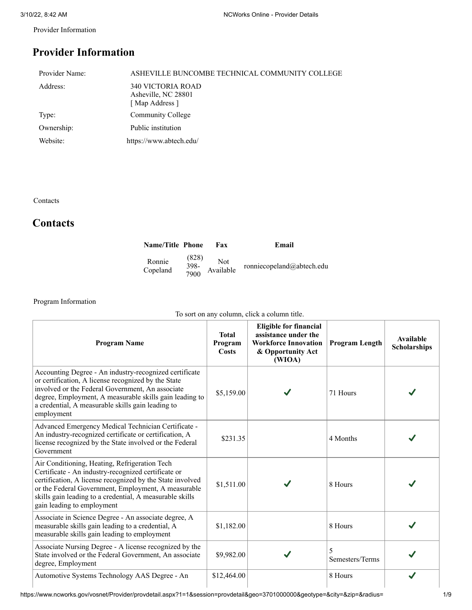Provider Information

## **Provider Information**

| Provider Name: | ASHEVILLE BUNCOMBE TECHNICAL COMMUNITY COLLEGE                   |
|----------------|------------------------------------------------------------------|
| Address:       | <b>340 VICTORIA ROAD</b><br>Asheville, NC 28801<br>[Map Address] |
| Type:          | Community College                                                |
| Ownership:     | Public institution                                               |
| Website:       | https://www.abtech.edu/                                          |

Contacts

## **Contacts**

| <b>Name/Title Phone</b> |              | Fax       | Email                     |
|-------------------------|--------------|-----------|---------------------------|
| Ronnie                  | (828)        | Not       | ronniecopeland@abtech.edu |
| Copeland                | 398-<br>7900 | Available |                           |

Program Information

| To sort on any column, click a column title.                                                                                                                                                                                                                                                                       |                                  |                                                                                                                     |                       |                                  |  |
|--------------------------------------------------------------------------------------------------------------------------------------------------------------------------------------------------------------------------------------------------------------------------------------------------------------------|----------------------------------|---------------------------------------------------------------------------------------------------------------------|-----------------------|----------------------------------|--|
| <b>Program Name</b>                                                                                                                                                                                                                                                                                                | <b>Total</b><br>Program<br>Costs | <b>Eligible for financial</b><br>assistance under the<br><b>Workforce Innovation</b><br>& Opportunity Act<br>(WIOA) | <b>Program Length</b> | Available<br><b>Scholarships</b> |  |
| Accounting Degree - An industry-recognized certificate<br>or certification, A license recognized by the State<br>involved or the Federal Government, An associate<br>degree, Employment, A measurable skills gain leading to<br>a credential, A measurable skills gain leading to<br>employment                    | \$5,159.00                       |                                                                                                                     | 71 Hours              |                                  |  |
| Advanced Emergency Medical Technician Certificate -<br>An industry-recognized certificate or certification, A<br>license recognized by the State involved or the Federal<br>Government                                                                                                                             | \$231.35                         |                                                                                                                     | 4 Months              |                                  |  |
| Air Conditioning, Heating, Refrigeration Tech<br>Certificate - An industry-recognized certificate or<br>certification, A license recognized by the State involved<br>or the Federal Government, Employment, A measurable<br>skills gain leading to a credential, A measurable skills<br>gain leading to employment | \$1,511.00                       |                                                                                                                     | 8 Hours               |                                  |  |
| Associate in Science Degree - An associate degree, A<br>measurable skills gain leading to a credential, A<br>measurable skills gain leading to employment                                                                                                                                                          | \$1,182.00                       |                                                                                                                     | 8 Hours               |                                  |  |
| Associate Nursing Degree - A license recognized by the<br>State involved or the Federal Government, An associate<br>degree, Employment                                                                                                                                                                             | \$9,982.00                       |                                                                                                                     | 5<br>Semesters/Terms  |                                  |  |
| Automotive Systems Technology AAS Degree - An                                                                                                                                                                                                                                                                      | \$12,464.00                      |                                                                                                                     | 8 Hours               |                                  |  |

 $\overline{\phantom{a}}$ I I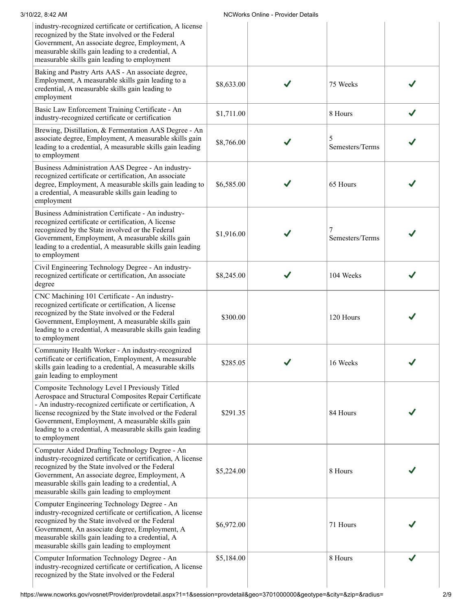| 3/10/22, 8:42 AM                                                                                                                                                                                                                                                                                                                                                  |            | <b>NCWorks Online - Provider Details</b> |                      |  |
|-------------------------------------------------------------------------------------------------------------------------------------------------------------------------------------------------------------------------------------------------------------------------------------------------------------------------------------------------------------------|------------|------------------------------------------|----------------------|--|
| industry-recognized certificate or certification, A license<br>recognized by the State involved or the Federal<br>Government, An associate degree, Employment, A<br>measurable skills gain leading to a credential, A<br>measurable skills gain leading to employment                                                                                             |            |                                          |                      |  |
| Baking and Pastry Arts AAS - An associate degree,<br>Employment, A measurable skills gain leading to a<br>credential, A measurable skills gain leading to<br>employment                                                                                                                                                                                           | \$8,633.00 |                                          | 75 Weeks             |  |
| Basic Law Enforcement Training Certificate - An<br>industry-recognized certificate or certification                                                                                                                                                                                                                                                               | \$1,711.00 |                                          | 8 Hours              |  |
| Brewing, Distillation, & Fermentation AAS Degree - An<br>associate degree, Employment, A measurable skills gain<br>leading to a credential, A measurable skills gain leading<br>to employment                                                                                                                                                                     | \$8,766.00 |                                          | 5<br>Semesters/Terms |  |
| Business Administration AAS Degree - An industry-<br>recognized certificate or certification, An associate<br>degree, Employment, A measurable skills gain leading to<br>a credential, A measurable skills gain leading to<br>employment                                                                                                                          | \$6,585.00 |                                          | 65 Hours             |  |
| Business Administration Certificate - An industry-<br>recognized certificate or certification, A license<br>recognized by the State involved or the Federal<br>Government, Employment, A measurable skills gain<br>leading to a credential, A measurable skills gain leading<br>to employment                                                                     | \$1,916.00 |                                          | Semesters/Terms      |  |
| Civil Engineering Technology Degree - An industry-<br>recognized certificate or certification, An associate<br>degree                                                                                                                                                                                                                                             | \$8,245.00 |                                          | 104 Weeks            |  |
| CNC Machining 101 Certificate - An industry-<br>recognized certificate or certification, A license<br>recognized by the State involved or the Federal<br>Government, Employment, A measurable skills gain<br>leading to a credential, A measurable skills gain leading<br>to employment                                                                           | \$300.00   |                                          | 120 Hours            |  |
| Community Health Worker - An industry-recognized<br>certificate or certification, Employment, A measurable<br>skills gain leading to a credential, A measurable skills<br>gain leading to employment                                                                                                                                                              | \$285.05   |                                          | 16 Weeks             |  |
| Composite Technology Level I Previously Titled<br>Aerospace and Structural Composites Repair Certificate<br>- An industry-recognized certificate or certification, A<br>license recognized by the State involved or the Federal<br>Government, Employment, A measurable skills gain<br>leading to a credential, A measurable skills gain leading<br>to employment | \$291.35   |                                          | 84 Hours             |  |
| Computer Aided Drafting Technology Degree - An<br>industry-recognized certificate or certification, A license<br>recognized by the State involved or the Federal<br>Government, An associate degree, Employment, A<br>measurable skills gain leading to a credential, A<br>measurable skills gain leading to employment                                           | \$5,224.00 |                                          | 8 Hours              |  |
| Computer Engineering Technology Degree - An<br>industry-recognized certificate or certification, A license<br>recognized by the State involved or the Federal<br>Government, An associate degree, Employment, A<br>measurable skills gain leading to a credential, A<br>measurable skills gain leading to employment                                              | \$6,972.00 |                                          | 71 Hours             |  |
| Computer Information Technology Degree - An<br>industry-recognized certificate or certification, A license<br>recognized by the State involved or the Federal                                                                                                                                                                                                     | \$5,184.00 |                                          | 8 Hours              |  |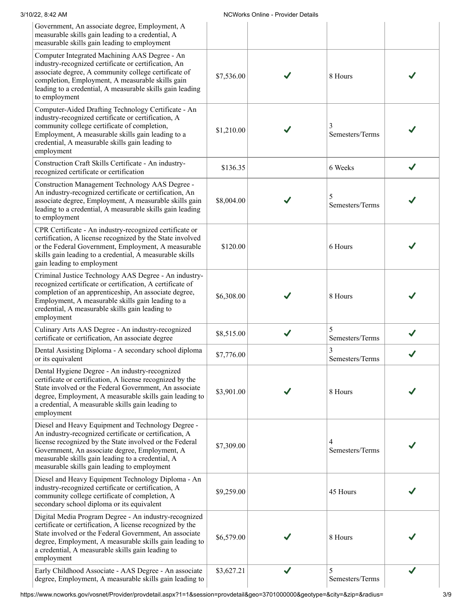| 3/10/22, 8:42 AM                                                                                                                                                                                                                                                                                                               |            | NCWorks Online - Provider Details |                      |   |
|--------------------------------------------------------------------------------------------------------------------------------------------------------------------------------------------------------------------------------------------------------------------------------------------------------------------------------|------------|-----------------------------------|----------------------|---|
| Government, An associate degree, Employment, A<br>measurable skills gain leading to a credential, A<br>measurable skills gain leading to employment                                                                                                                                                                            |            |                                   |                      |   |
| Computer Integrated Machining AAS Degree - An<br>industry-recognized certificate or certification, An<br>associate degree, A community college certificate of<br>completion, Employment, A measurable skills gain<br>leading to a credential, A measurable skills gain leading<br>to employment                                | \$7,536.00 |                                   | 8 Hours              |   |
| Computer-Aided Drafting Technology Certificate - An<br>industry-recognized certificate or certification, A<br>community college certificate of completion,<br>Employment, A measurable skills gain leading to a<br>credential, A measurable skills gain leading to<br>employment                                               | \$1,210.00 |                                   | Semesters/Terms      |   |
| Construction Craft Skills Certificate - An industry-<br>recognized certificate or certification                                                                                                                                                                                                                                | \$136.35   |                                   | 6 Weeks              |   |
| Construction Management Technology AAS Degree -<br>An industry-recognized certificate or certification, An<br>associate degree, Employment, A measurable skills gain<br>leading to a credential, A measurable skills gain leading<br>to employment                                                                             | \$8,004.00 |                                   | 5<br>Semesters/Terms |   |
| CPR Certificate - An industry-recognized certificate or<br>certification, A license recognized by the State involved<br>or the Federal Government, Employment, A measurable<br>skills gain leading to a credential, A measurable skills<br>gain leading to employment                                                          | \$120.00   |                                   | 6 Hours              |   |
| Criminal Justice Technology AAS Degree - An industry-<br>recognized certificate or certification, A certificate of<br>completion of an apprenticeship, An associate degree,<br>Employment, A measurable skills gain leading to a<br>credential, A measurable skills gain leading to<br>employment                              | \$6,308.00 |                                   | 8 Hours              |   |
| Culinary Arts AAS Degree - An industry-recognized<br>certificate or certification, An associate degree                                                                                                                                                                                                                         | \$8,515.00 |                                   | 5<br>Semesters/Terms |   |
| Dental Assisting Diploma - A secondary school diploma<br>or its equivalent                                                                                                                                                                                                                                                     | \$7,776.00 |                                   | 3<br>Semesters/Terms |   |
| Dental Hygiene Degree - An industry-recognized<br>certificate or certification, A license recognized by the<br>State involved or the Federal Government, An associate<br>degree, Employment, A measurable skills gain leading to<br>a credential, A measurable skills gain leading to<br>employment                            | \$3,901.00 |                                   | 8 Hours              |   |
| Diesel and Heavy Equipment and Technology Degree -<br>An industry-recognized certificate or certification, A<br>license recognized by the State involved or the Federal<br>Government, An associate degree, Employment, A<br>measurable skills gain leading to a credential, A<br>measurable skills gain leading to employment | \$7,309.00 |                                   | 4<br>Semesters/Terms |   |
| Diesel and Heavy Equipment Technology Diploma - An<br>industry-recognized certificate or certification, A<br>community college certificate of completion, A<br>secondary school diploma or its equivalent                                                                                                                      | \$9,259.00 |                                   | 45 Hours             |   |
| Digital Media Program Degree - An industry-recognized<br>certificate or certification, A license recognized by the<br>State involved or the Federal Government, An associate<br>degree, Employment, A measurable skills gain leading to<br>a credential, A measurable skills gain leading to<br>employment                     | \$6,579.00 |                                   | 8 Hours              |   |
| Early Childhood Associate - AAS Degree - An associate<br>degree, Employment, A measurable skills gain leading to                                                                                                                                                                                                               | \$3,627.21 | $\checkmark$                      | 5<br>Semesters/Terms | J |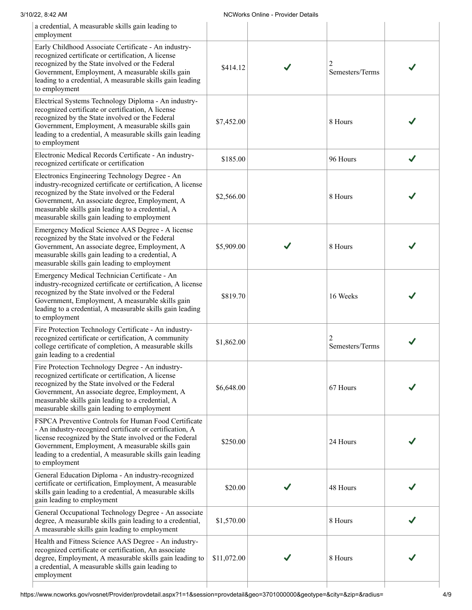| 3/10/22, 8:42 AM                                                                                                                                                                                                                                                                                                        |             | <b>NCWorks Online - Provider Details</b> |                 |              |
|-------------------------------------------------------------------------------------------------------------------------------------------------------------------------------------------------------------------------------------------------------------------------------------------------------------------------|-------------|------------------------------------------|-----------------|--------------|
| a credential, A measurable skills gain leading to<br>employment                                                                                                                                                                                                                                                         |             |                                          |                 |              |
| Early Childhood Associate Certificate - An industry-<br>recognized certificate or certification, A license<br>recognized by the State involved or the Federal<br>Government, Employment, A measurable skills gain<br>leading to a credential, A measurable skills gain leading<br>to employment                         | \$414.12    |                                          | Semesters/Terms |              |
| Electrical Systems Technology Diploma - An industry-<br>recognized certificate or certification, A license<br>recognized by the State involved or the Federal<br>Government, Employment, A measurable skills gain<br>leading to a credential, A measurable skills gain leading<br>to employment                         | \$7,452.00  |                                          | 8 Hours         |              |
| Electronic Medical Records Certificate - An industry-<br>recognized certificate or certification                                                                                                                                                                                                                        | \$185.00    |                                          | 96 Hours        | $\checkmark$ |
| Electronics Engineering Technology Degree - An<br>industry-recognized certificate or certification, A license<br>recognized by the State involved or the Federal<br>Government, An associate degree, Employment, A<br>measurable skills gain leading to a credential, A<br>measurable skills gain leading to employment | \$2,566.00  |                                          | 8 Hours         |              |
| Emergency Medical Science AAS Degree - A license<br>recognized by the State involved or the Federal<br>Government, An associate degree, Employment, A<br>measurable skills gain leading to a credential, A<br>measurable skills gain leading to employment                                                              | \$5,909.00  |                                          | 8 Hours         |              |
| Emergency Medical Technician Certificate - An<br>industry-recognized certificate or certification, A license<br>recognized by the State involved or the Federal<br>Government, Employment, A measurable skills gain<br>leading to a credential, A measurable skills gain leading<br>to employment                       | \$819.70    |                                          | 16 Weeks        |              |
| Fire Protection Technology Certificate - An industry-<br>recognized certificate or certification, A community<br>college certificate of completion, A measurable skills<br>gain leading to a credential                                                                                                                 | \$1,862.00  |                                          | Semesters/Terms |              |
| Fire Protection Technology Degree - An industry-<br>recognized certificate or certification, A license<br>recognized by the State involved or the Federal<br>Government, An associate degree, Employment, A<br>measurable skills gain leading to a credential, A<br>measurable skills gain leading to employment        | \$6,648.00  |                                          | 67 Hours        |              |
| FSPCA Preventive Controls for Human Food Certificate<br>- An industry-recognized certificate or certification, A<br>license recognized by the State involved or the Federal<br>Government, Employment, A measurable skills gain<br>leading to a credential, A measurable skills gain leading<br>to employment           | \$250.00    |                                          | 24 Hours        |              |
| General Education Diploma - An industry-recognized<br>certificate or certification, Employment, A measurable<br>skills gain leading to a credential, A measurable skills<br>gain leading to employment                                                                                                                  | \$20.00     |                                          | 48 Hours        |              |
| General Occupational Technology Degree - An associate<br>degree, A measurable skills gain leading to a credential,<br>A measurable skills gain leading to employment                                                                                                                                                    | \$1,570.00  |                                          | 8 Hours         |              |
| Health and Fitness Science AAS Degree - An industry-<br>recognized certificate or certification, An associate<br>degree, Employment, A measurable skills gain leading to<br>a credential, A measurable skills gain leading to<br>employment                                                                             | \$11,072.00 |                                          | 8 Hours         |              |
|                                                                                                                                                                                                                                                                                                                         |             |                                          |                 |              |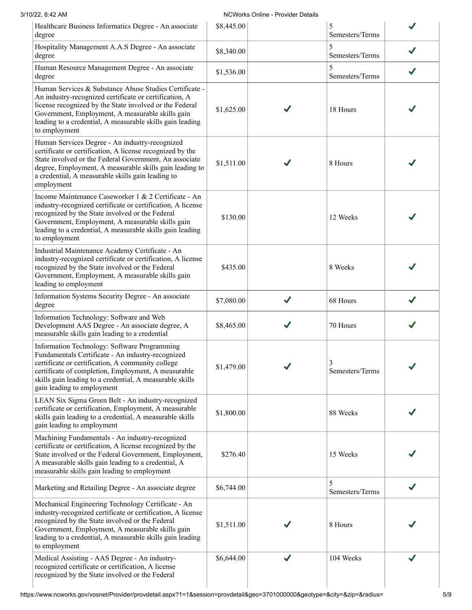## 3/10/22, 8:42 AM NCWorks Online - Provider Details

| Healthcare Business Informatics Degree - An associate<br>degree                                                                                                                                                                                                                                               | \$8,445.00 |   | 5<br>Semesters/Terms |  |
|---------------------------------------------------------------------------------------------------------------------------------------------------------------------------------------------------------------------------------------------------------------------------------------------------------------|------------|---|----------------------|--|
| Hospitality Management A.A.S Degree - An associate<br>degree                                                                                                                                                                                                                                                  | \$8,340.00 |   | 5<br>Semesters/Terms |  |
| Human Resource Management Degree - An associate<br>degree                                                                                                                                                                                                                                                     | \$1,536.00 |   | 5<br>Semesters/Terms |  |
| Human Services & Substance Abuse Studies Certificate -<br>An industry-recognized certificate or certification, A<br>license recognized by the State involved or the Federal<br>Government, Employment, A measurable skills gain<br>leading to a credential, A measurable skills gain leading<br>to employment | \$1,625.00 |   | 18 Hours             |  |
| Human Services Degree - An industry-recognized<br>certificate or certification, A license recognized by the<br>State involved or the Federal Government, An associate<br>degree, Employment, A measurable skills gain leading to<br>a credential, A measurable skills gain leading to<br>employment           | \$1,511.00 |   | 8 Hours              |  |
| Income Maintenance Caseworker 1 & 2 Certificate - An<br>industry-recognized certificate or certification, A license<br>recognized by the State involved or the Federal<br>Government, Employment, A measurable skills gain<br>leading to a credential, A measurable skills gain leading<br>to employment      | \$130.00   |   | 12 Weeks             |  |
| Industrial Maintenance Academy Certificate - An<br>industry-recognized certificate or certification, A license<br>recognized by the State involved or the Federal<br>Government, Employment, A measurable skills gain<br>leading to employment                                                                | \$435.00   |   | 8 Weeks              |  |
| Information Systems Security Degree - An associate<br>degree                                                                                                                                                                                                                                                  | \$7,080.00 | ✔ | 68 Hours             |  |
| Information Technology: Software and Web<br>Development AAS Degree - An associate degree, A<br>measurable skills gain leading to a credential                                                                                                                                                                 | \$8,465.00 |   | 70 Hours             |  |
| Information Technology: Software Programming<br>Fundamentals Certificate - An industry-recognized<br>certificate or certification. A community college<br>certificate of completion, Employment, A measurable<br>skills gain leading to a credential, A measurable skills<br>gain leading to employment       | \$1,479.00 |   | 3<br>Semesters/Terms |  |
| LEAN Six Sigma Green Belt - An industry-recognized<br>certificate or certification, Employment, A measurable<br>skills gain leading to a credential, A measurable skills<br>gain leading to employment                                                                                                        | \$1,800.00 |   | 88 Weeks             |  |
| Machining Fundamentals - An industry-recognized<br>certificate or certification, A license recognized by the<br>State involved or the Federal Government, Employment,<br>A measurable skills gain leading to a credential, A<br>measurable skills gain leading to employment                                  | \$276.40   |   | 15 Weeks             |  |
| Marketing and Retailing Degree - An associate degree                                                                                                                                                                                                                                                          | \$6,744.00 |   | 5<br>Semesters/Terms |  |
| Mechanical Engineering Technology Certificate - An<br>industry-recognized certificate or certification, A license<br>recognized by the State involved or the Federal<br>Government, Employment, A measurable skills gain<br>leading to a credential, A measurable skills gain leading<br>to employment        | \$1,511.00 |   | 8 Hours              |  |
| Medical Assisting - AAS Degree - An industry-<br>recognized certificate or certification, A license<br>recognized by the State involved or the Federal                                                                                                                                                        | \$6,644.00 |   | 104 Weeks            |  |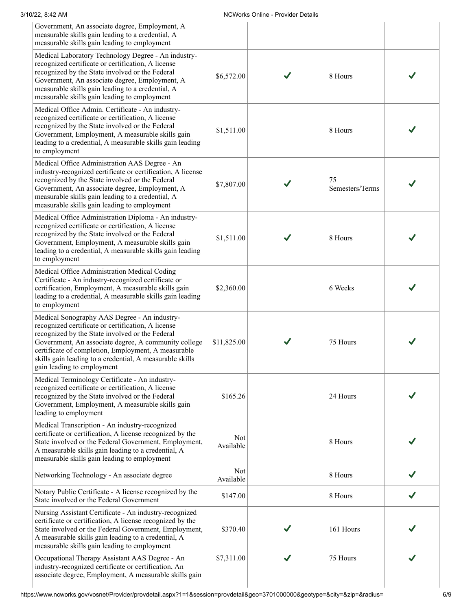| 3/10/22, 8:42 AM                                                                                                                                                                                                                                                                                                                                               |                  | <b>NCWorks Online - Provider Details</b> |                       |  |
|----------------------------------------------------------------------------------------------------------------------------------------------------------------------------------------------------------------------------------------------------------------------------------------------------------------------------------------------------------------|------------------|------------------------------------------|-----------------------|--|
| Government, An associate degree, Employment, A<br>measurable skills gain leading to a credential, A<br>measurable skills gain leading to employment                                                                                                                                                                                                            |                  |                                          |                       |  |
| Medical Laboratory Technology Degree - An industry-<br>recognized certificate or certification, A license<br>recognized by the State involved or the Federal<br>Government, An associate degree, Employment, A<br>measurable skills gain leading to a credential, A<br>measurable skills gain leading to employment                                            | \$6,572.00       |                                          | 8 Hours               |  |
| Medical Office Admin. Certificate - An industry-<br>recognized certificate or certification, A license<br>recognized by the State involved or the Federal<br>Government, Employment, A measurable skills gain<br>leading to a credential, A measurable skills gain leading<br>to employment                                                                    | \$1,511.00       |                                          | 8 Hours               |  |
| Medical Office Administration AAS Degree - An<br>industry-recognized certificate or certification, A license<br>recognized by the State involved or the Federal<br>Government, An associate degree, Employment, A<br>measurable skills gain leading to a credential, A<br>measurable skills gain leading to employment                                         | \$7,807.00       |                                          | 75<br>Semesters/Terms |  |
| Medical Office Administration Diploma - An industry-<br>recognized certificate or certification, A license<br>recognized by the State involved or the Federal<br>Government, Employment, A measurable skills gain<br>leading to a credential, A measurable skills gain leading<br>to employment                                                                | \$1,511.00       |                                          | 8 Hours               |  |
| Medical Office Administration Medical Coding<br>Certificate - An industry-recognized certificate or<br>certification, Employment, A measurable skills gain<br>leading to a credential, A measurable skills gain leading<br>to employment                                                                                                                       | \$2,360.00       |                                          | 6 Weeks               |  |
| Medical Sonography AAS Degree - An industry-<br>recognized certificate or certification, A license<br>recognized by the State involved or the Federal<br>Government, An associate degree, A community college<br>certificate of completion, Employment, A measurable<br>skills gain leading to a credential, A measurable skills<br>gain leading to employment | \$11,825.00      |                                          | 75 Hours              |  |
| Medical Terminology Certificate - An industry-<br>recognized certificate or certification, A license<br>recognized by the State involved or the Federal<br>Government, Employment, A measurable skills gain<br>leading to employment                                                                                                                           | \$165.26         |                                          | 24 Hours              |  |
| Medical Transcription - An industry-recognized<br>certificate or certification, A license recognized by the<br>State involved or the Federal Government, Employment,<br>A measurable skills gain leading to a credential, A<br>measurable skills gain leading to employment                                                                                    | Not<br>Available |                                          | 8 Hours               |  |
| Networking Technology - An associate degree                                                                                                                                                                                                                                                                                                                    | Not<br>Available |                                          | 8 Hours               |  |
| Notary Public Certificate - A license recognized by the<br>State involved or the Federal Government                                                                                                                                                                                                                                                            | \$147.00         |                                          | 8 Hours               |  |
| Nursing Assistant Certificate - An industry-recognized<br>certificate or certification, A license recognized by the<br>State involved or the Federal Government, Employment,<br>A measurable skills gain leading to a credential, A<br>measurable skills gain leading to employment                                                                            | \$370.40         |                                          | 161 Hours             |  |
| Occupational Therapy Assistant AAS Degree - An<br>industry-recognized certificate or certification, An<br>associate degree, Employment, A measurable skills gain                                                                                                                                                                                               | \$7,311.00       |                                          | 75 Hours              |  |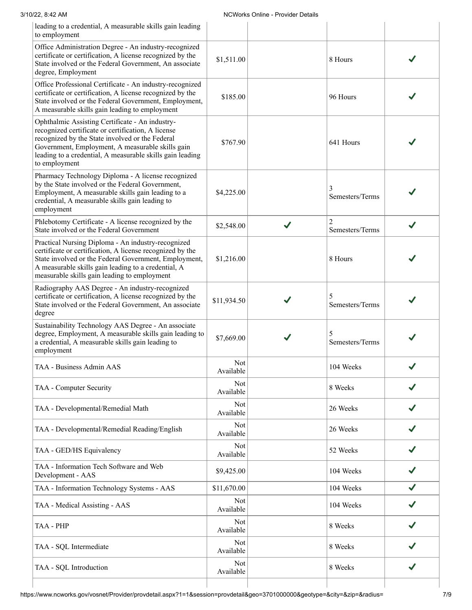| 3/10/22, 8:42 AM                                                                                                                                                                                                                                                                           |                  | <b>NCWorks Online - Provider Details</b> |                                   |   |
|--------------------------------------------------------------------------------------------------------------------------------------------------------------------------------------------------------------------------------------------------------------------------------------------|------------------|------------------------------------------|-----------------------------------|---|
| leading to a credential, A measurable skills gain leading<br>to employment                                                                                                                                                                                                                 |                  |                                          |                                   |   |
| Office Administration Degree - An industry-recognized<br>certificate or certification, A license recognized by the<br>State involved or the Federal Government, An associate<br>degree, Employment                                                                                         | \$1,511.00       |                                          | 8 Hours                           |   |
| Office Professional Certificate - An industry-recognized<br>certificate or certification, A license recognized by the<br>State involved or the Federal Government, Employment,<br>A measurable skills gain leading to employment                                                           | \$185.00         |                                          | 96 Hours                          |   |
| Ophthalmic Assisting Certificate - An industry-<br>recognized certificate or certification, A license<br>recognized by the State involved or the Federal<br>Government, Employment, A measurable skills gain<br>leading to a credential, A measurable skills gain leading<br>to employment | \$767.90         |                                          | 641 Hours                         |   |
| Pharmacy Technology Diploma - A license recognized<br>by the State involved or the Federal Government,<br>Employment, A measurable skills gain leading to a<br>credential, A measurable skills gain leading to<br>employment                                                               | \$4,225.00       |                                          | Semesters/Terms                   |   |
| Phlebotomy Certificate - A license recognized by the<br>State involved or the Federal Government                                                                                                                                                                                           | \$2,548.00       | J                                        | $\overline{c}$<br>Semesters/Terms |   |
| Practical Nursing Diploma - An industry-recognized<br>certificate or certification, A license recognized by the<br>State involved or the Federal Government, Employment,<br>A measurable skills gain leading to a credential, A<br>measurable skills gain leading to employment            | \$1,216.00       |                                          | 8 Hours                           |   |
| Radiography AAS Degree - An industry-recognized<br>certificate or certification, A license recognized by the<br>State involved or the Federal Government, An associate<br>degree                                                                                                           | \$11,934.50      |                                          | 5<br>Semesters/Terms              |   |
| Sustainability Technology AAS Degree - An associate<br>degree, Employment, A measurable skills gain leading to<br>a credential, A measurable skills gain leading to<br>employment                                                                                                          | \$7,669.00       |                                          | 5<br>Semesters/Terms              |   |
| TAA - Business Admin AAS                                                                                                                                                                                                                                                                   | Not<br>Available |                                          | 104 Weeks                         |   |
| TAA - Computer Security                                                                                                                                                                                                                                                                    | Not<br>Available |                                          | 8 Weeks                           |   |
| TAA - Developmental/Remedial Math                                                                                                                                                                                                                                                          | Not<br>Available |                                          | 26 Weeks                          |   |
| TAA - Developmental/Remedial Reading/English                                                                                                                                                                                                                                               | Not<br>Available |                                          | 26 Weeks                          |   |
| TAA - GED/HS Equivalency                                                                                                                                                                                                                                                                   | Not<br>Available |                                          | 52 Weeks                          |   |
| TAA - Information Tech Software and Web<br>Development - AAS                                                                                                                                                                                                                               | \$9,425.00       |                                          | 104 Weeks                         |   |
| TAA - Information Technology Systems - AAS                                                                                                                                                                                                                                                 | \$11,670.00      |                                          | 104 Weeks                         | J |
| TAA - Medical Assisting - AAS                                                                                                                                                                                                                                                              | Not<br>Available |                                          | 104 Weeks                         |   |
| TAA - PHP                                                                                                                                                                                                                                                                                  | Not<br>Available |                                          | 8 Weeks                           |   |
| TAA - SQL Intermediate                                                                                                                                                                                                                                                                     | Not<br>Available |                                          | 8 Weeks                           |   |
| TAA - SQL Introduction                                                                                                                                                                                                                                                                     | Not<br>Available |                                          | 8 Weeks                           |   |
|                                                                                                                                                                                                                                                                                            |                  |                                          |                                   |   |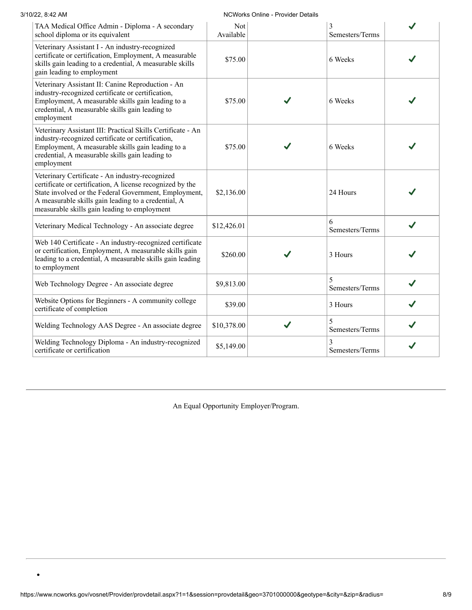| 3/10/22, 8:42 AM                                                                                                                                                                                                                                                             |                  | <b>NCWorks Online - Provider Details</b> |                      |  |
|------------------------------------------------------------------------------------------------------------------------------------------------------------------------------------------------------------------------------------------------------------------------------|------------------|------------------------------------------|----------------------|--|
| TAA Medical Office Admin - Diploma - A secondary<br>school diploma or its equivalent                                                                                                                                                                                         | Not<br>Available |                                          | 3<br>Semesters/Terms |  |
| Veterinary Assistant I - An industry-recognized<br>certificate or certification, Employment, A measurable<br>skills gain leading to a credential, A measurable skills<br>gain leading to employment                                                                          | \$75.00          |                                          | 6 Weeks              |  |
| Veterinary Assistant II: Canine Reproduction - An<br>industry-recognized certificate or certification,<br>Employment, A measurable skills gain leading to a<br>credential, A measurable skills gain leading to<br>employment                                                 | \$75.00          |                                          | 6 Weeks              |  |
| Veterinary Assistant III: Practical Skills Certificate - An<br>industry-recognized certificate or certification,<br>Employment, A measurable skills gain leading to a<br>credential, A measurable skills gain leading to<br>employment                                       | \$75.00          |                                          | 6 Weeks              |  |
| Veterinary Certificate - An industry-recognized<br>certificate or certification, A license recognized by the<br>State involved or the Federal Government, Employment,<br>A measurable skills gain leading to a credential, A<br>measurable skills gain leading to employment | \$2,136.00       |                                          | 24 Hours             |  |
| Veterinary Medical Technology - An associate degree                                                                                                                                                                                                                          | \$12,426.01      |                                          | 6<br>Semesters/Terms |  |
| Web 140 Certificate - An industry-recognized certificate<br>or certification, Employment, A measurable skills gain<br>leading to a credential, A measurable skills gain leading<br>to employment                                                                             | \$260.00         |                                          | 3 Hours              |  |
| Web Technology Degree - An associate degree                                                                                                                                                                                                                                  | \$9,813.00       |                                          | 5<br>Semesters/Terms |  |
| Website Options for Beginners - A community college<br>certificate of completion                                                                                                                                                                                             | \$39.00          |                                          | 3 Hours              |  |
| Welding Technology AAS Degree - An associate degree                                                                                                                                                                                                                          | \$10,378.00      | J                                        | 5<br>Semesters/Terms |  |
| Welding Technology Diploma - An industry-recognized<br>certificate or certification                                                                                                                                                                                          | \$5,149.00       |                                          | 3<br>Semesters/Terms |  |

An Equal Opportunity Employer/Program.



 $\bullet$